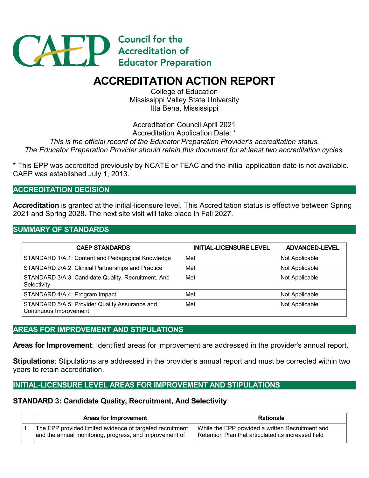

# **ACCREDITATION ACTION REPORT**

College of Education Mississippi Valley State University Itta Bena, Mississippi

Accreditation Council April 2021

Accreditation Application Date: \*

*This is the official record of the Educator Preparation Provider's accreditation status. The Educator Preparation Provider should retain this document for at least two accreditation cycles.*

\* This EPP was accredited previously by NCATE or TEAC and the initial application date is not available. CAEP was established July 1, 2013.

**ACCREDITATION DECISION**

**Accreditation** is granted at the initial-licensure level. This Accreditation status is effective between Spring 2021 and Spring 2028. The next site visit will take place in Fall 2027.

### **SUMMARY OF STANDARDS**

| <b>CAEP STANDARDS</b>                                                    | <b>INITIAL-LICENSURE LEVEL</b> | <b>ADVANCED-LEVEL</b> |
|--------------------------------------------------------------------------|--------------------------------|-----------------------|
| STANDARD 1/A.1: Content and Pedagogical Knowledge                        | Met                            | Not Applicable        |
| STANDARD 2/A.2: Clinical Partnerships and Practice                       | Met                            | Not Applicable        |
| STANDARD 3/A.3: Candidate Quality, Recruitment, And<br>Selectivity       | Met                            | Not Applicable        |
| STANDARD 4/A.4: Program Impact                                           | Met                            | Not Applicable        |
| STANDARD 5/A.5: Provider Quality Assurance and<br>Continuous Improvement | Met                            | Not Applicable        |

### **AREAS FOR IMPROVEMENT AND STIPULATIONS**

**Areas for Improvement**: Identified areas for improvement are addressed in the provider's annual report.

**Stipulations**: Stipulations are addressed in the provider's annual report and must be corrected within two years to retain accreditation.

### **INITIAL-LICENSURE LEVEL AREAS FOR IMPROVEMENT AND STIPULATIONS**

### **STANDARD 3: Candidate Quality, Recruitment, And Selectivity**

### **Areas for Improvement Rationale**

1 The EPP provided limited evidence of targeted recruitment and the annual monitoring, progress, and improvement of

While the EPP provided a written Recruitment and Retention Plan that articulated its increased field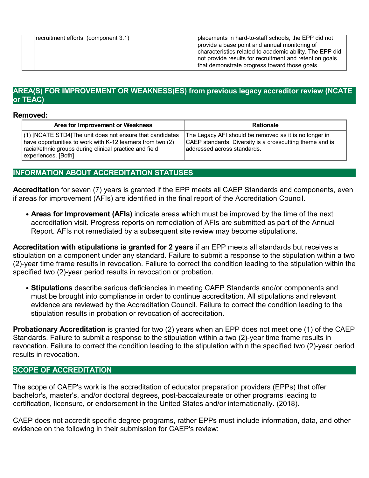### **AREA(S) FOR IMPROVEMENT OR WEAKNESS(ES) from previous legacy accreditor review (NCATE or TEAC)**

### **Removed:**

| Area for Improvement or Weakness                                                                                                                                                                         | <b>Rationale</b>                                                                                                                                  |
|----------------------------------------------------------------------------------------------------------------------------------------------------------------------------------------------------------|---------------------------------------------------------------------------------------------------------------------------------------------------|
| (1) [NCATE STD4]The unit does not ensure that candidates<br>have opportunities to work with K-12 learners from two (2)<br>racial/ethnic groups during clinical practice and field<br>experiences. [Both] | The Legacy AFI should be removed as it is no longer in<br>CAEP standards. Diversity is a crosscutting theme and is<br>addressed across standards. |

## **INFORMATION ABOUT ACCREDITATION STATUSES**

**Accreditation** for seven (7) years is granted if the EPP meets all CAEP Standards and components, even if areas for improvement (AFIs) are identified in the final report of the Accreditation Council.

**Areas for Improvement (AFIs)** indicate areas which must be improved by the time of the next accreditation visit. Progress reports on remediation of AFIs are submitted as part of the Annual Report. AFIs not remediated by a subsequent site review may become stipulations.

**Accreditation with stipulations is granted for2 years** if an EPP meets all standards butreceives a stipulation on a component under any standard. Failure to submit a response to the stipulation within a two (2)-year time frame results in revocation. Failure to correct the condition leading to the stipulation within the specified two (2)-year period results in revocation or probation.

**Stipulations** describe serious deficiencies in meeting CAEP Standards and/or components and must be brought into compliance in order to continue accreditation. All stipulations and relevant evidence are reviewed by the Accreditation Council. Failure to correct the condition leading to the stipulation results in probation or revocation of accreditation.

**Probationary Accreditation** is granted for two (2) years when an EPP does not meet one (1) of the CAEP Standards. Failure to submit a response to the stipulation within a two (2)-year time frame results in revocation. Failure to correct the condition leading to the stipulation within the specified two (2)-year period results in revocation.

### **SCOPE OF ACCREDITATION**

The scope of CAEP's work is the accreditation of educator preparation providers (EPPs) that offer bachelor's, master's, and/or doctoral degrees, post-baccalaureate or other programs leading to certification, licensure, or endorsement in the United States and/or internationally. (2018).

CAEP does not accredit specific degree programs, rather EPPs must include information, data, and other evidence on the following in their submission for CAEP's review: